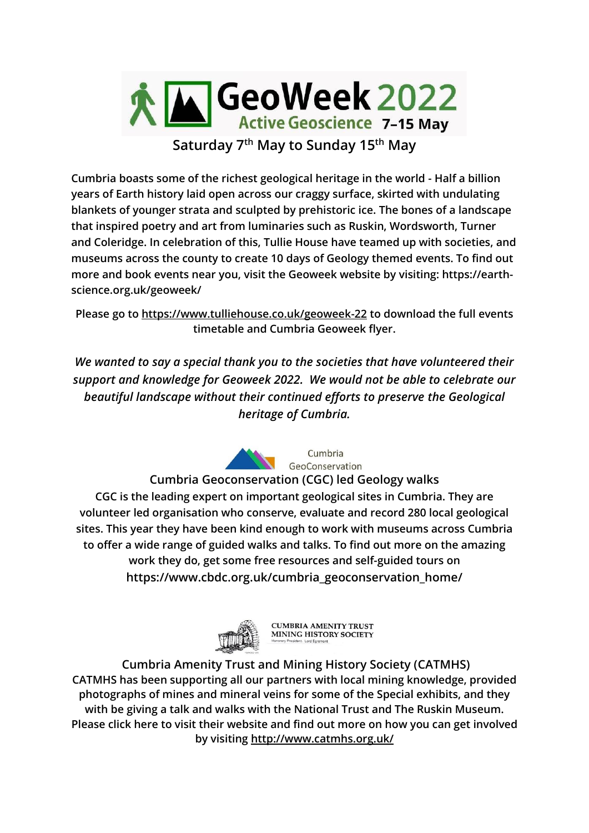

**Cumbria boasts some of the richest geological heritage in the world - Half a billion years of Earth history laid open across our craggy surface, skirted with undulating blankets of younger strata and sculpted by prehistoric ice. The bones of a landscape that inspired poetry and art from luminaries such as Ruskin, Wordsworth, Turner and Coleridge. In celebration of this, Tullie House have teamed up with societies, and museums across the county to create 10 days of Geology themed events. To find out more and book events near you, visit the Geoweek website by visiting: https://earthscience.org.uk/geoweek/**

**Please go to<https://www.tulliehouse.co.uk/geoweek-22> to download the full events timetable and Cumbria Geoweek flyer.**

*We wanted to say a special thank you to the societies that have volunteered their support and knowledge for Geoweek 2022. We would not be able to celebrate our beautiful landscape without their continued efforts to preserve the Geological heritage of Cumbria.*



Cumbria GeoConservation

**Cumbria Geoconservation (CGC) led Geology walks CGC is the leading expert on important geological sites in Cumbria. They are volunteer led organisation who conserve, evaluate and record 280 local geological sites. This year they have been kind enough to work with museums across Cumbria to offer a wide range of guided walks and talks. To find out more on the amazing work they do, get some free resources and self-guided tours on [https://www.cbdc.org.uk/cumbria\\_geoconservation\\_home/](https://www.cbdc.org.uk/cumbria_geoconservation_home/)**



**CUMBRIA AMENITY TRUST MINING HISTORY SOCIETY** 

**Cumbria Amenity Trust and Mining History Society (CATMHS) CATMHS has been supporting all our partners with local mining knowledge, provided photographs of mines and mineral veins for some of the Special exhibits, and they with be giving a talk and walks with the National Trust and The Ruskin Museum. Please click here to visit their website and find out more on how you can get involved by visiting<http://www.catmhs.org.uk/>**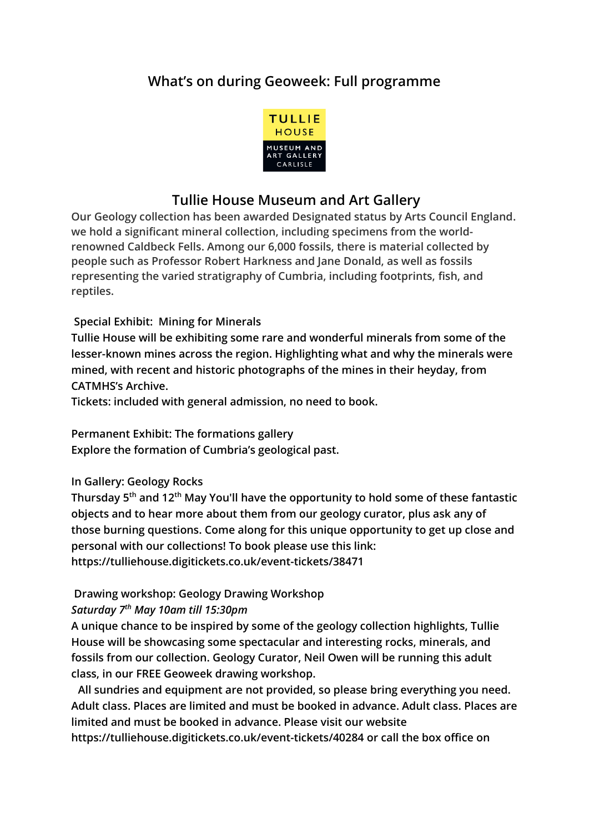# **What's on during Geoweek: Full programme**



## **Tullie House Museum and Art Gallery**

**Our Geology collection has been awarded Designated status by Arts Council England. we hold a significant mineral collection, including specimens from the worldrenowned Caldbeck Fells. Among our 6,000 fossils, there is material collected by people such as Professor Robert Harkness and Jane Donald, as well as fossils representing the varied stratigraphy of Cumbria, including footprints, fish, and reptiles.**

#### **Special Exhibit: Mining for Minerals**

**Tullie House will be exhibiting some rare and wonderful minerals from some of the lesser-known mines across the region. Highlighting what and why the minerals were mined, with recent and historic photographs of the mines in their heyday, from CATMHS's Archive.** 

**Tickets: included with general admission, no need to book.**

**Permanent Exhibit: The formations gallery** 

**Explore the formation of Cumbria's geological past.**

#### **In Gallery: Geology Rocks**

**Thursday 5th and 12 th May You'll have the opportunity to hold some of these fantastic objects and to hear more about them from our geology curator, plus ask any of those burning questions. Come along for this unique opportunity to get up close and personal with our collections! To book please use this link: https://tulliehouse.digitickets.co.uk/event-tickets/38471**

#### **Drawing workshop: Geology Drawing Workshop**

#### *Saturday 7th May 10am till 15:30pm*

**A unique chance to be inspired by some of the geology collection highlights, Tullie House will be showcasing some spectacular and interesting rocks, minerals, and fossils from our collection. Geology Curator, Neil Owen will be running this adult class, in our FREE Geoweek drawing workshop.**

**All sundries and equipment are not provided, so please bring everything you need. Adult class. Places are limited and must be booked in advance. Adult class. Places are limited and must be booked in advance. Please visit our website** 

**https://tulliehouse.digitickets.co.uk/event-tickets/40284 or call the box office on**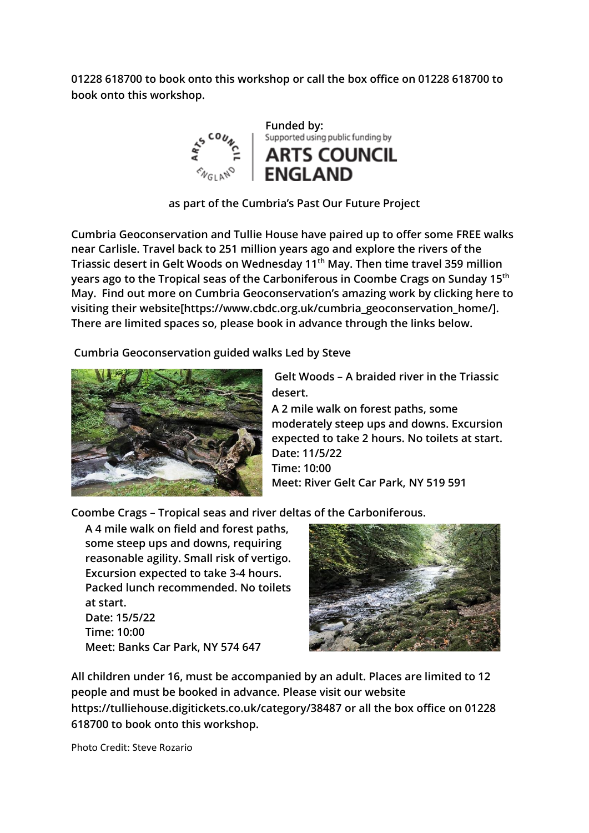**01228 618700 to book onto this workshop or call the box office on 01228 618700 to book onto this workshop.**



**as part of the Cumbria's Past Our Future Project** 

**Cumbria Geoconservation and Tullie House have paired up to offer some FREE walks near Carlisle. Travel back to 251 million years ago and explore the rivers of the Triassic desert in Gelt Woods on Wednesday 11th May. Then time travel 359 million years ago to the Tropical seas of the Carboniferous in Coombe Crags on Sunday 15th May. Find out more on Cumbria Geoconservation's amazing work by clicking here to visiting their website[\[https://www.cbdc.org.uk/cumbria\\_geoconservation\\_home/\]](https://www.cbdc.org.uk/cumbria_geoconservation_home/). There are limited spaces so, please book in advance through the links below.**

**Cumbria Geoconservation guided walks Led by Steve** 



**Gelt Woods – A braided river in the Triassic desert.**

**A 2 mile walk on forest paths, some moderately steep ups and downs. Excursion expected to take 2 hours. No toilets at start. Date: 11/5/22 Time: 10:00 Meet: River Gelt Car Park, NY 519 591**

**Coombe Crags – Tropical seas and river deltas of the Carboniferous.**

**A 4 mile walk on field and forest paths, some steep ups and downs, requiring reasonable agility. Small risk of vertigo. Excursion expected to take 3-4 hours. Packed lunch recommended. No toilets at start. Date: 15/5/22 Time: 10:00 Meet: Banks Car Park, NY 574 647**



**All children under 16, must be accompanied by an adult. Places are limited to 12 people and must be booked in advance. Please visit our website https://tulliehouse.digitickets.co.uk/category/38487 or all the box office on 01228 618700 to book onto this workshop.**

Photo Credit: Steve Rozario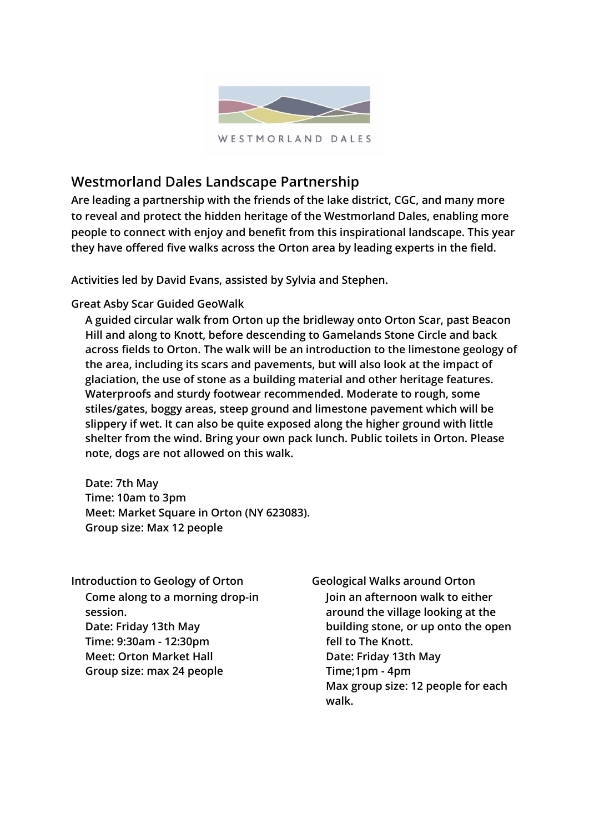

# **Westmorland Dales Landscape Partnership**

**Are leading a partnership with the friends of the lake district, CGC, and many more to reveal and protect the hidden heritage of the Westmorland Dales, enabling more people to connect with enjoy and benefit from this inspirational landscape. This year they have offered five walks across the Orton area by leading experts in the field.**

**Activities led by David Evans, assisted by Sylvia and Stephen.**

**Great Asby Scar Guided GeoWalk**

**A guided circular walk from Orton up the bridleway onto Orton Scar, past Beacon Hill and along to Knott, before descending to Gamelands Stone Circle and back across fields to Orton. The walk will be an introduction to the limestone geology of the area, including its scars and pavements, but will also look at the impact of glaciation, the use of stone as a building material and other heritage features. Waterproofs and sturdy footwear recommended. Moderate to rough, some stiles/gates, boggy areas, steep ground and limestone pavement which will be slippery if wet. It can also be quite exposed along the higher ground with little shelter from the wind. Bring your own pack lunch. Public toilets in Orton. Please note, dogs are not allowed on this walk.**

**Date: 7th May Time: 10am to 3pm Meet: Market Square in Orton (NY 623083). Group size: Max 12 people**

**Introduction to Geology of Orton Come along to a morning drop-in session. Date: Friday 13th May Time: 9:30am - 12:30pm Meet: Orton Market Hall Group size: max 24 people**

**Geological Walks around Orton Join an afternoon walk to either around the village looking at the building stone, or up onto the open fell to The Knott. Date: Friday 13th May Time;1pm - 4pm Max group size: 12 people for each walk.**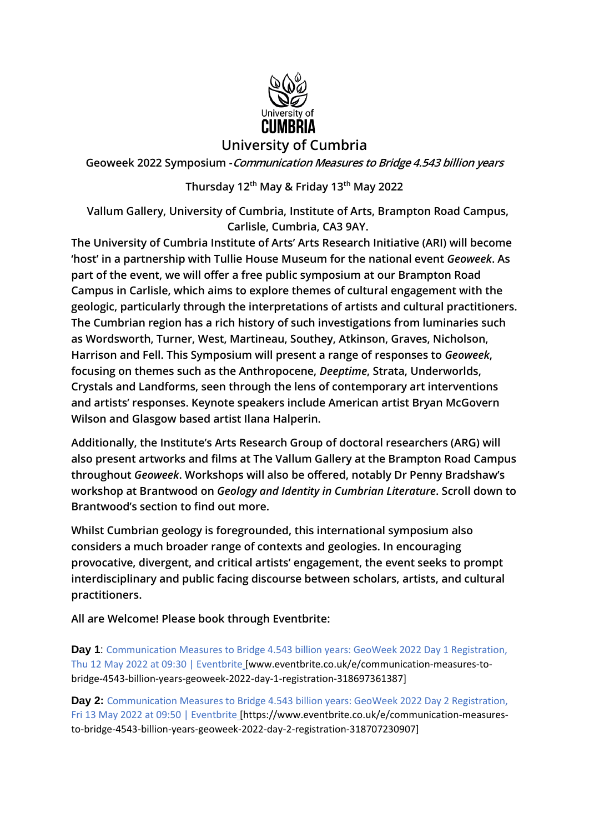

## **University of Cumbria**

**Geoweek 2022 Symposium -Communication Measures to Bridge 4.543 billion years**

#### **Thursday 12th May & Friday 13th May 2022**

**Vallum Gallery, University of Cumbria, Institute of Arts, Brampton Road Campus, Carlisle, Cumbria, CA3 9AY.**

**The University of Cumbria Institute of Arts' Arts Research Initiative (ARI) will become 'host' in a partnership with Tullie House Museum for the national event** *Geoweek***. As part of the event, we will offer a free public symposium at our Brampton Road Campus in Carlisle, which aims to explore themes of cultural engagement with the geologic, particularly through the interpretations of artists and cultural practitioners. The Cumbrian region has a rich history of such investigations from luminaries such as Wordsworth, Turner, West, Martineau, Southey, Atkinson, Graves, Nicholson, Harrison and Fell. This Symposium will present a range of responses to** *Geoweek***, focusing on themes such as the Anthropocene,** *Deeptime***, Strata, Underworlds, Crystals and Landforms, seen through the lens of contemporary art interventions and artists' responses. Keynote speakers include American artist Bryan McGovern Wilson and Glasgow based artist Ilana Halperin.**

**Additionally, the Institute's Arts Research Group of doctoral researchers (ARG) will also present artworks and films at The Vallum Gallery at the Brampton Road Campus throughout** *Geoweek***. Workshops will also be offered, notably Dr Penny Bradshaw's workshop at Brantwood on** *Geology and Identity in Cumbrian Literature***. Scroll down to Brantwood's section to find out more.**

**Whilst Cumbrian geology is foregrounded, this international symposium also considers a much broader range of contexts and geologies. In encouraging provocative, divergent, and critical artists' engagement, the event seeks to prompt interdisciplinary and public facing discourse between scholars, artists, and cultural practitioners.**

**All are Welcome! Please book through Eventbrite:**

**Day 1**: Communication Measures to Bridge 4.543 billion years: GeoWeek 2022 Day 1 Registration, Thu 12 May 2022 at 09:30 | Eventbrite [www.eventbrite.co.uk/e/communication-measures-tobridge-4543-billion-years-geoweek-2022-day-1-registration-318697361387]

**Day 2:** Communication Measures to Bridge 4.543 billion years: GeoWeek 2022 Day 2 Registration, Fri 13 May 2022 at 09:50 | Eventbrite [https://www.eventbrite.co.uk/e/communication-measuresto-bridge-4543-billion-years-geoweek-2022-day-2-registration-318707230907]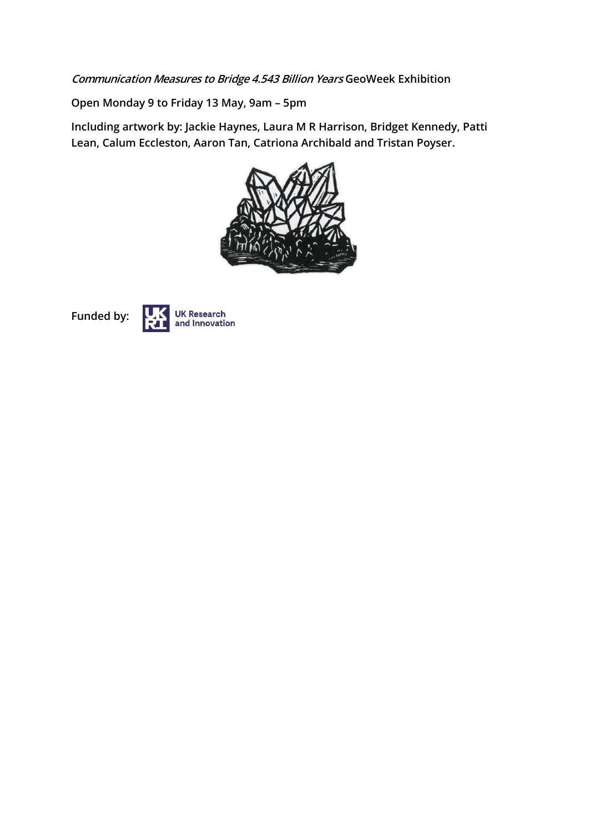**Communication Measures to Bridge 4.543 Billion Years GeoWeek Exhibition** 

**Open Monday 9 to Friday 13 May, 9am – 5pm**

**Including artwork by: Jackie Haynes, Laura M R Harrison, Bridget Kennedy, Patti Lean, Calum Eccleston, Aaron Tan, Catriona Archibald and Tristan Poyser.**





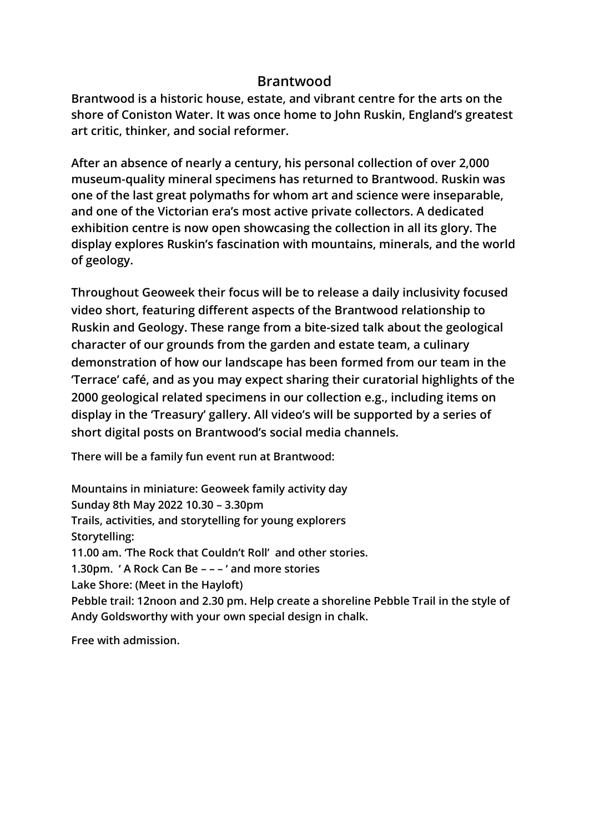## **Brantwood**

**Brantwood is a historic house, estate, and vibrant centre for the arts on the shore of Coniston Water. It was once home to John Ruskin, England's greatest art critic, thinker, and social reformer.**

**After an absence of nearly a century, his personal collection of over 2,000 museum-quality mineral specimens has returned to Brantwood. Ruskin was one of the last great polymaths for whom art and science were inseparable, and one of the Victorian era's most active private collectors. A dedicated exhibition centre is now open showcasing the collection in all its glory. The display explores Ruskin's fascination with mountains, minerals, and the world of geology.**

**Throughout Geoweek their focus will be to release a daily inclusivity focused video short, featuring different aspects of the Brantwood relationship to Ruskin and Geology. These range from a bite-sized talk about the geological character of our grounds from the garden and estate team, a culinary demonstration of how our landscape has been formed from our team in the 'Terrace' café, and as you may expect sharing their curatorial highlights of the 2000 geological related specimens in our collection e.g., including items on display in the 'Treasury' gallery. All video's will be supported by a series of short digital posts on Brantwood's social media channels.** 

**There will be a family fun event run at Brantwood:**

**Mountains in miniature: Geoweek family activity day Sunday 8th May 2022 10.30 – 3.30pm Trails, activities, and storytelling for young explorers Storytelling: 11.00 am. 'The Rock that Couldn't Roll' and other stories. 1.30pm. ' A Rock Can Be – – – ' and more stories Lake Shore: (Meet in the Hayloft) Pebble trail: 12noon and 2.30 pm. Help create a shoreline Pebble Trail in the style of Andy Goldsworthy with your own special design in chalk.**

**Free with admission.**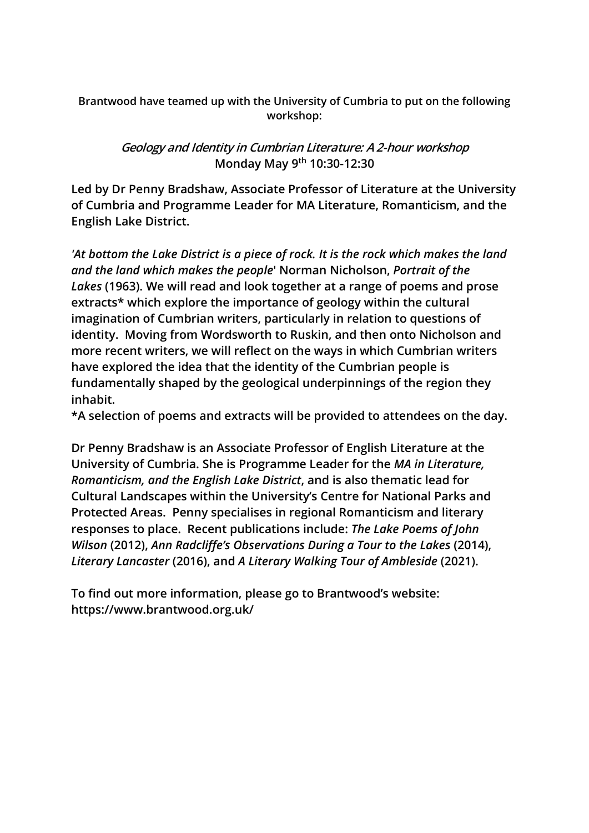**Brantwood have teamed up with the University of Cumbria to put on the following workshop:**

> **Geology and Identity in Cumbrian Literature: A 2-hour workshop Monday May 9th 10:30-12:30**

**Led by Dr Penny Bradshaw, Associate Professor of Literature at the University of Cumbria and Programme Leader for MA Literature, Romanticism, and the English Lake District.**

*'At bottom the Lake District is a piece of rock. It is the rock which makes the land and the land which makes the people***' Norman Nicholson,** *Portrait of the Lakes* **(1963). We will read and look together at a range of poems and prose extracts\* which explore the importance of geology within the cultural imagination of Cumbrian writers, particularly in relation to questions of identity. Moving from Wordsworth to Ruskin, and then onto Nicholson and more recent writers, we will reflect on the ways in which Cumbrian writers have explored the idea that the identity of the Cumbrian people is fundamentally shaped by the geological underpinnings of the region they inhabit.** 

**\*A selection of poems and extracts will be provided to attendees on the day.**

**Dr Penny Bradshaw is an Associate Professor of English Literature at the University of Cumbria. She is Programme Leader for the** *MA in Literature, Romanticism, and the English Lake District***, and is also thematic lead for Cultural Landscapes within the University's Centre for National Parks and Protected Areas. Penny specialises in regional Romanticism and literary responses to place. Recent publications include:** *The Lake Poems of John Wilson* **(2012),** *Ann Radcliffe's Observations During a Tour to the Lakes* **(2014),** *Literary Lancaster* **(2016), and** *A Literary Walking Tour of Ambleside* **(2021).**

**To find out more information, please go to Brantwood's website: <https://www.brantwood.org.uk/>**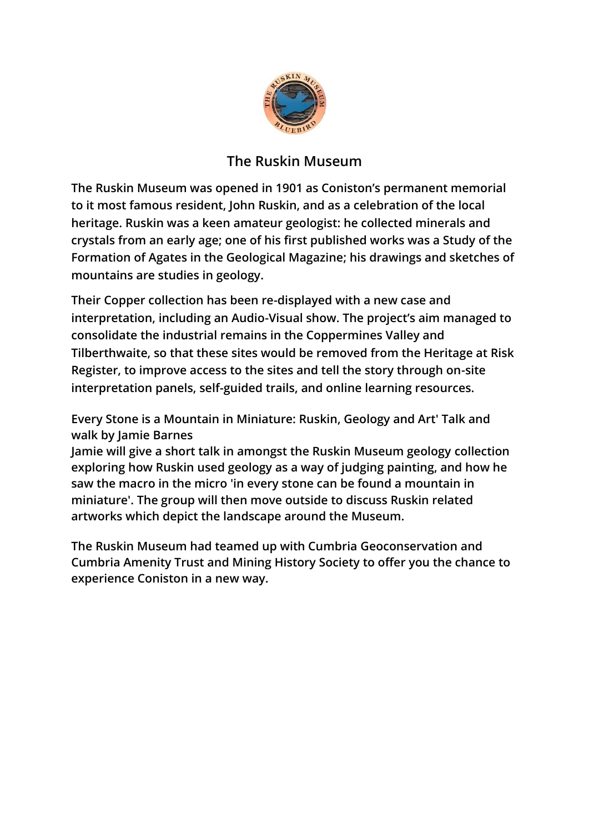

# **The Ruskin Museum**

**The Ruskin Museum was opened in 1901 as Coniston's permanent memorial to it most famous resident, John Ruskin, and as a celebration of the local heritage. Ruskin was a keen amateur geologist: he collected minerals and crystals from an early age; one of his first published works was a Study of the Formation of Agates in the Geological Magazine; his drawings and sketches of mountains are studies in geology.** 

**Their Copper collection has been re-displayed with a new case and interpretation, including an Audio-Visual show. The project's aim managed to consolidate the industrial remains in the Coppermines Valley and Tilberthwaite, so that these sites would be removed from the Heritage at Risk Register, to improve access to the sites and tell the story through on-site interpretation panels, self-guided trails, and online learning resources.** 

**Every Stone is a Mountain in Miniature: Ruskin, Geology and Art' Talk and walk by Jamie Barnes**

**Jamie will give a short talk in amongst the Ruskin Museum geology collection exploring how Ruskin used geology as a way of judging painting, and how he saw the macro in the micro 'in every stone can be found a mountain in miniature'. The group will then move outside to discuss Ruskin related artworks which depict the landscape around the Museum.**

**The Ruskin Museum had teamed up with Cumbria Geoconservation and Cumbria Amenity Trust and Mining History Society to offer you the chance to experience Coniston in a new way.**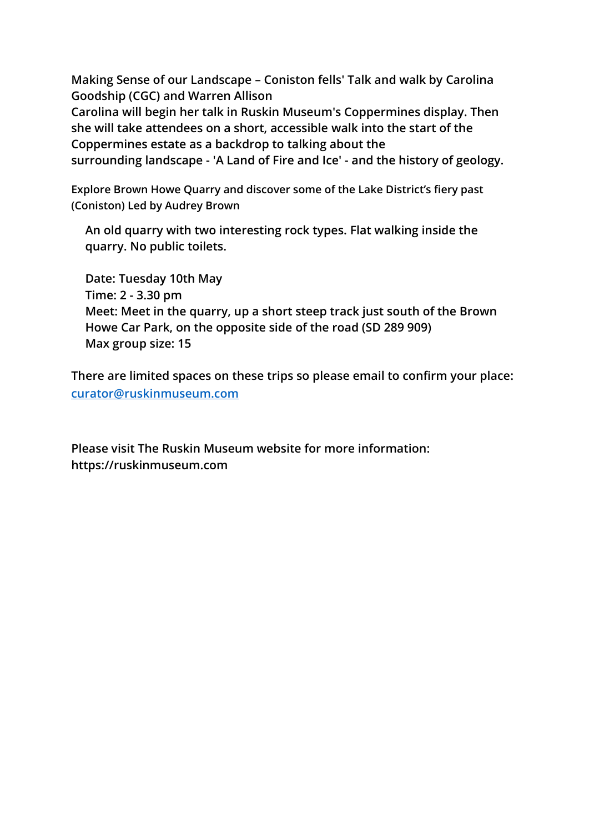**Making Sense of our Landscape – Coniston fells' Talk and walk by Carolina Goodship (CGC) and Warren Allison**

**Carolina will begin her talk in Ruskin Museum's Coppermines display. Then she will take attendees on a short, accessible walk into the start of the Coppermines estate as a backdrop to talking about the surrounding landscape - 'A Land of Fire and Ice' - and the history of geology.**

**Explore Brown Howe Quarry and discover some of the Lake District's fiery past (Coniston) Led by Audrey Brown** 

**An old quarry with two interesting rock types. Flat walking inside the quarry. No public toilets.**

**Date: Tuesday 10th May Time: 2 - 3.30 pm Meet: Meet in the quarry, up a short steep track just south of the Brown Howe Car Park, on the opposite side of the road (SD 289 909) Max group size: 15**

**There are limited spaces on these trips so please email to confirm your place: [curator@ruskinmuseum.com](mailto:curator@ruskinmuseum.com)**

**Please visit The Ruskin Museum website for more information: https://ruskinmuseum.com**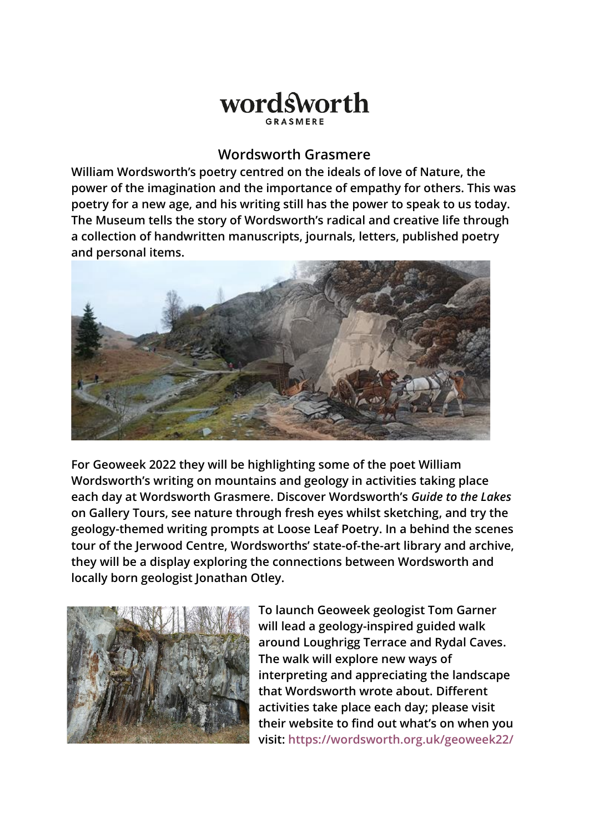# wordsworth

## **Wordsworth Grasmere**

**William Wordsworth's poetry centred on the ideals of love of Nature, the power of the imagination and the importance of empathy for others. This was poetry for a new age, and his writing still has the power to speak to us today. The Museum tells the story of Wordsworth's radical and creative life through a collection of handwritten manuscripts, journals, letters, published poetry and personal items.** 



**For Geoweek 2022 they will be highlighting some of the poet William Wordsworth's writing on mountains and geology in activities taking place each day at Wordsworth Grasmere. Discover Wordsworth's** *Guide to the Lakes* **on Gallery Tours, see nature through fresh eyes whilst sketching, and try the geology-themed writing prompts at Loose Leaf Poetry. In a behind the scenes tour of the Jerwood Centre, Wordsworths' state-of-the-art library and archive, they will be a display exploring the connections between Wordsworth and locally born geologist Jonathan Otley.**



**To launch Geoweek geologist Tom Garner will lead a geology-inspired guided walk around Loughrigg Terrace and Rydal Caves. The walk will explore new ways of interpreting and appreciating the landscape that Wordsworth wrote about. Different activities take place each day; please visit their website to find out what's on when you visit:<https://wordsworth.org.uk/geoweek22/>**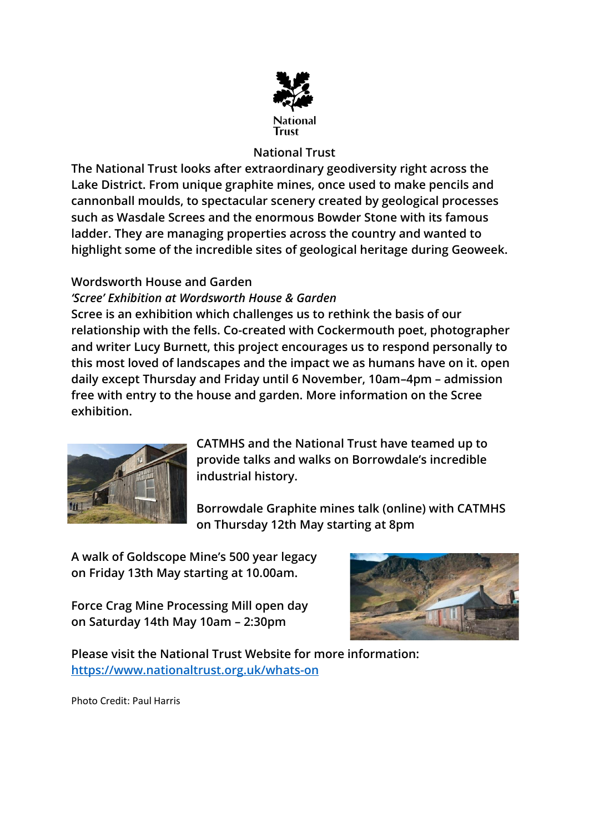

## **National Trust**

**The National Trust looks after extraordinary geodiversity right across the Lake District. From unique graphite mines, once used to make pencils and cannonball moulds, to spectacular scenery created by geological processes such as Wasdale Screes and the enormous Bowder Stone with its famous ladder. They are managing properties across the country and wanted to highlight some of the incredible sites of geological heritage during Geoweek.**

## **Wordsworth House and Garden**

## *'Scree' Exhibition at Wordsworth House & Garden*

**Scree is an exhibition which challenges us to rethink the basis of our relationship with the fells. Co-created with Cockermouth poet, photographer and writer Lucy Burnett, this project encourages us to respond personally to this most loved of landscapes and the impact we as humans have on it. open daily except Thursday and Friday until 6 November, 10am–4pm – admission free with entry to the house and garden. More information on the Scree exhibition.**



**CATMHS and the National Trust have teamed up to provide talks and walks on Borrowdale's incredible industrial history.**

**Borrowdale Graphite mines talk (online) with CATMHS on Thursday 12th May starting at 8pm** 

**A walk of Goldscope Mine's 500 year legacy on Friday 13th May starting at 10.00am.**

**Force Crag Mine Processing Mill open day on Saturday 14th May 10am – 2:30pm**



**Please visit the National Trust Website for more information: <https://www.nationaltrust.org.uk/whats-on>**

Photo Credit: Paul Harris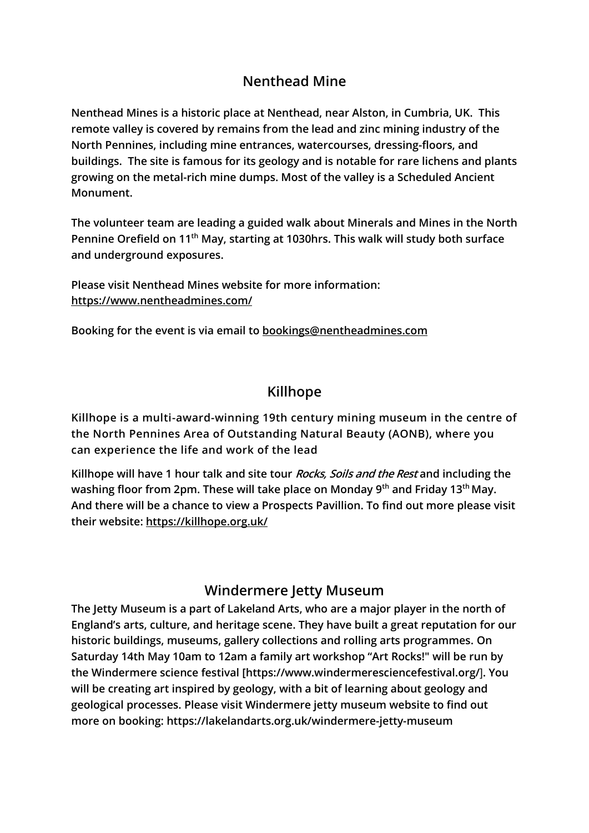# **Nenthead Mine**

**Nenthead Mines is a historic place at Nenthead, near Alston, in Cumbria, UK. This remote valley is covered by remains from the lead and zinc mining industry of the North Pennines, including mine entrances, watercourses, dressing-floors, and buildings. The site is famous for its geology and is notable for rare lichens and plants growing on the metal-rich mine dumps. Most of the valley is a Scheduled Ancient Monument.**

**The volunteer team are leading a guided walk about Minerals and Mines in the North Pennine Orefield on 11th May, starting at 1030hrs. This walk will study both surface and underground exposures.**

**Please visit Nenthead Mines website for more information: <https://www.nentheadmines.com/>**

**Booking for the event is via email to [bookings@nentheadmines.com](mailto:bookings@nentheadmines.com)**

# **Killhope**

**Killhope is a multi-award-winning 19th century mining museum in the centre of the North Pennines Area of Outstanding Natural Beauty (AONB), where you can experience the life and work of the lead**

**Killhope will have 1 hour talk and site tour Rocks, Soils and the Rest and including the washing floor from 2pm. These will take place on Monday 9th and Friday 13th May. And there will be a chance to view a Prospects Pavillion. To find out more please visit their website: <https://killhope.org.uk/>**

# **Windermere Jetty Museum**

**The Jetty Museum is a part of Lakeland Arts, who are a major player in the north of England's arts, culture, and heritage scene. They have built a great reputation for our historic buildings, museums, gallery collections and rolling arts programmes. On Saturday 14th May 10am to 12am a family art workshop "Art Rocks!" will be run by the Windermere science festival [\[https://www.windermeresciencefestival.org/](https://www.windermeresciencefestival.org/)**]**. You will be creating art inspired by geology, with a bit of learning about geology and geological processes. Please visit Windermere jetty museum website to find out more on booking: https://lakelandarts.org.uk/windermere-jetty-museum**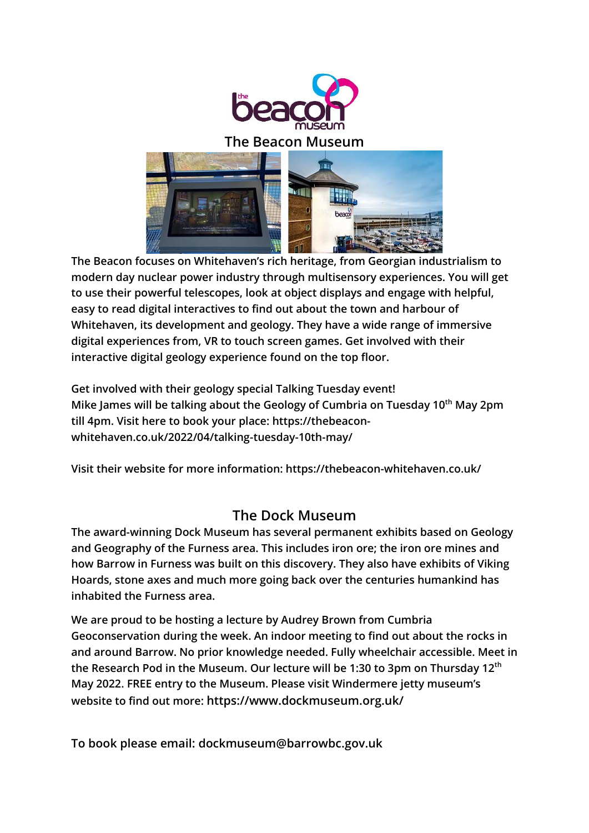

#### **The Beacon Museum**



**The Beacon focuses on Whitehaven's rich heritage, from Georgian industrialism to modern day nuclear power industry through multisensory experiences. You will get to use their powerful telescopes, look at object displays and engage with helpful, easy to read digital interactives to find out about the town and harbour of Whitehaven, its development and geology. They have a wide range of immersive digital experiences from, VR to touch screen games. Get involved with their interactive digital geology experience found on the top floor.**

**Get involved with their geology special Talking Tuesday event! Mike James will be talking about the Geology of Cumbria on Tuesday 10th May 2pm till 4pm. Visit here to book your place: [https://thebeacon](https://thebeacon-whitehaven.co.uk/2022/04/talking-tuesday-10th-may/)[whitehaven.co.uk/2022/04/talking-tuesday-10th-may/](https://thebeacon-whitehaven.co.uk/2022/04/talking-tuesday-10th-may/)**

**Visit their website for more information: <https://thebeacon-whitehaven.co.uk/>**

## **The Dock Museum**

**The award-winning Dock Museum has several permanent exhibits based on Geology and Geography of the Furness area. This includes iron ore; the iron ore mines and how Barrow in Furness was built on this discovery. They also have exhibits of Viking Hoards, stone axes and much more going back over the centuries humankind has inhabited the Furness area.** 

**We are proud to be hosting a lecture by Audrey Brown from Cumbria Geoconservation during the week. An indoor meeting to find out about the rocks in and around Barrow. No prior knowledge needed. Fully wheelchair accessible. Meet in the Research Pod in the Museum. Our lecture will be 1:30 to 3pm on Thursday 12th May 2022. FREE entry to the Museum. Please visit Windermere jetty museum's website to find out more: <https://www.dockmuseum.org.uk/>**

**To book please email: [dockmuseum@barrowbc.gov.uk](mailto:dockmuseum@barrowbc.gov.uk)**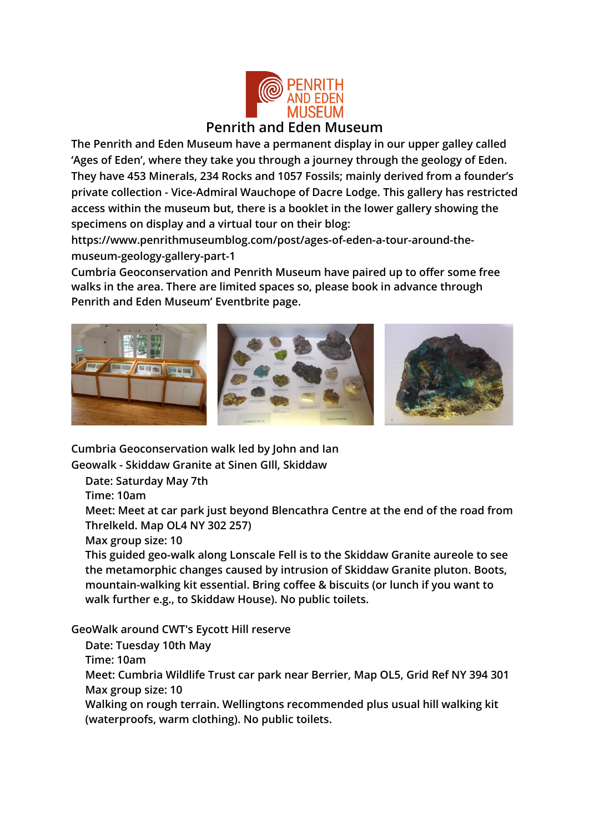

**The Penrith and Eden Museum have a permanent display in our upper galley called 'Ages of Eden', where they take you through a journey through the geology of Eden. They have 453 Minerals, 234 Rocks and 1057 Fossils; mainly derived from a founder's private collection - Vice-Admiral Wauchope of Dacre Lodge. This gallery has restricted access within the museum but, there is a booklet in the lower gallery showing the specimens on display and a virtual tour on their blog:** 

**[https://www.penrithmuseumblog.com/post/ages-of-eden-a-tour-around-the](https://www.penrithmuseumblog.com/post/ages-of-eden-a-tour-around-the-museum-geology-gallery-part-1)[museum-geology-gallery-part-1](https://www.penrithmuseumblog.com/post/ages-of-eden-a-tour-around-the-museum-geology-gallery-part-1)**

**Cumbria Geoconservation and Penrith Museum have paired up to offer some free walks in the area. There are limited spaces so, please book in advance through Penrith and Eden Museum' Eventbrite page.**



**Cumbria Geoconservation walk led by John and Ian Geowalk - Skiddaw Granite at Sinen GIll, Skiddaw**

**Date: Saturday May 7th**

**Time: 10am**

**Meet: Meet at car park just beyond Blencathra Centre at the end of the road from Threlkeld. Map OL4 NY 302 257)**

**Max group size: 10**

**This guided geo-walk along Lonscale Fell is to the Skiddaw Granite aureole to see the metamorphic changes caused by intrusion of Skiddaw Granite pluton. Boots, mountain-walking kit essential. Bring coffee & biscuits (or lunch if you want to walk further e.g., to Skiddaw House). No public toilets.**

**GeoWalk around CWT's Eycott Hill reserve** 

**Date: Tuesday 10th May**

**Time: 10am**

**Meet: Cumbria Wildlife Trust car park near Berrier, Map OL5, Grid Ref NY 394 301 Max group size: 10**

**Walking on rough terrain. Wellingtons recommended plus usual hill walking kit (waterproofs, warm clothing). No public toilets.**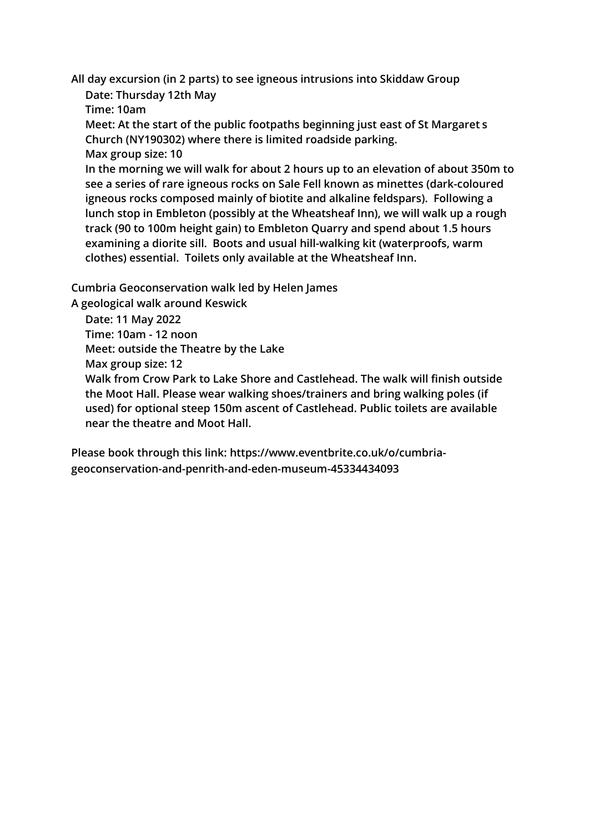**All day excursion (in 2 parts) to see igneous intrusions into Skiddaw Group Date: Thursday 12th May**

**Time: 10am**

**Meet: At the start of the public footpaths beginning just east of St Margaret s Church (NY190302) where there is limited roadside parking.**

**Max group size: 10**

**In the morning we will walk for about 2 hours up to an elevation of about 350m to see a series of rare igneous rocks on Sale Fell known as minettes (dark-coloured igneous rocks composed mainly of biotite and alkaline feldspars). Following a lunch stop in Embleton (possibly at the Wheatsheaf Inn), we will walk up a rough track (90 to 100m height gain) to Embleton Quarry and spend about 1.5 hours examining a diorite sill. Boots and usual hill-walking kit (waterproofs, warm clothes) essential. Toilets only available at the Wheatsheaf Inn.**

**Cumbria Geoconservation walk led by Helen James**

**A geological walk around Keswick**

**Date: 11 May 2022**

**Time: 10am - 12 noon**

**Meet: outside the Theatre by the Lake**

**Max group size: 12**

**Walk from Crow Park to Lake Shore and Castlehead. The walk will finish outside the Moot Hall. Please wear walking shoes/trainers and bring walking poles (if used) for optional steep 150m ascent of Castlehead. Public toilets are available near the theatre and Moot Hall.**

**Please book through this link: [https://www.eventbrite.co.uk/o/cumbria](https://www.eventbrite.co.uk/o/cumbria-geoconservation-and-penrith-and-eden-museum-45334434093)[geoconservation-and-penrith-and-eden-museum-45334434093](https://www.eventbrite.co.uk/o/cumbria-geoconservation-and-penrith-and-eden-museum-45334434093)**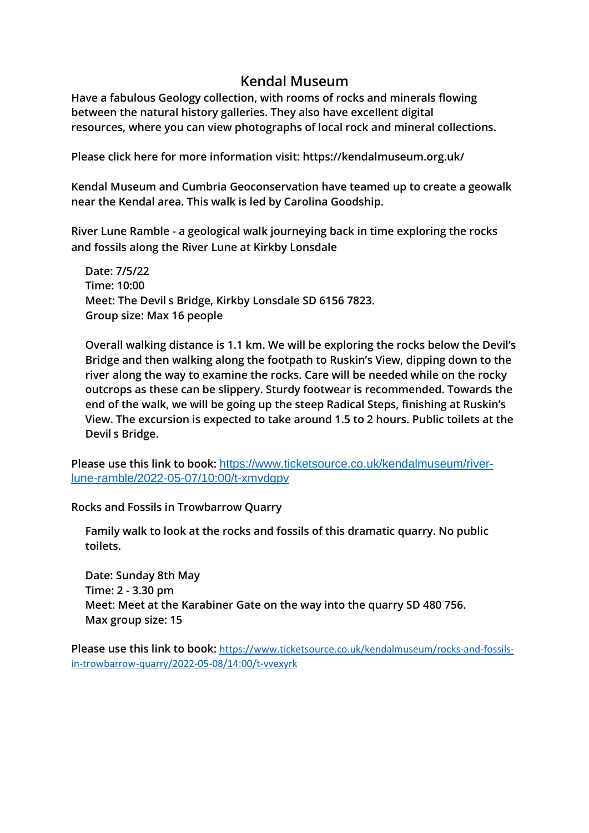#### **Kendal Museum**

**Have a fabulous Geology collection, with rooms of rocks and minerals flowing between the natural history galleries. They also have excellent [digital](http://collections.kendalmuseum.org.uk/) [resources](http://collections.kendalmuseum.org.uk/), where you can view photographs of local rock and mineral collections.**

**Please click here for more information visit:<https://kendalmuseum.org.uk/>**

**Kendal Museum and Cumbria Geoconservation have teamed up to create a geowalk near the Kendal area. This walk is led by Carolina Goodship.**

**River Lune Ramble - a geological walk journeying back in time exploring the rocks and fossils along the River Lune at Kirkby Lonsdale**

**Date: 7/5/22 Time: 10:00 Meet: The Devil s Bridge, Kirkby Lonsdale SD 6156 7823. Group size: Max 16 people**

**Overall walking distance is 1.1 km. We will be exploring the rocks below the Devil's Bridge and then walking along the footpath to Ruskin's View, dipping down to the river along the way to examine the rocks. Care will be needed while on the rocky outcrops as these can be slippery. Sturdy footwear is recommended. Towards the end of the walk, we will be going up the steep Radical Steps, finishing at Ruskin's View. The excursion is expected to take around 1.5 to 2 hours. Public toilets at the Devil s Bridge.**

**Please use this link to book:** [https://www.ticketsource.co.uk/kendalmuseum/river](https://www.ticketsource.co.uk/kendalmuseum/river-lune-ramble/2022-05-07/10:00/t-xmvdgpv)[lune-ramble/2022-05-07/10:00/t-xmvdgpv](https://www.ticketsource.co.uk/kendalmuseum/river-lune-ramble/2022-05-07/10:00/t-xmvdgpv)

**Rocks and Fossils in Trowbarrow Quarry** 

**Family walk to look at the rocks and fossils of this dramatic quarry. No public toilets.**

**Date: Sunday 8th May Time: 2 - 3.30 pm Meet: Meet at the Karabiner Gate on the way into the quarry SD 480 756. Max group size: 15**

**Please use this link to book:** [https://www.ticketsource.co.uk/kendalmuseum/rocks-and-fossils](https://www.ticketsource.co.uk/kendalmuseum/rocks-and-fossils-in-trowbarrow-quarry/2022-05-08/14:00/t-vvexyrk)[in-trowbarrow-quarry/2022-05-08/14:00/t-vvexyrk](https://www.ticketsource.co.uk/kendalmuseum/rocks-and-fossils-in-trowbarrow-quarry/2022-05-08/14:00/t-vvexyrk)